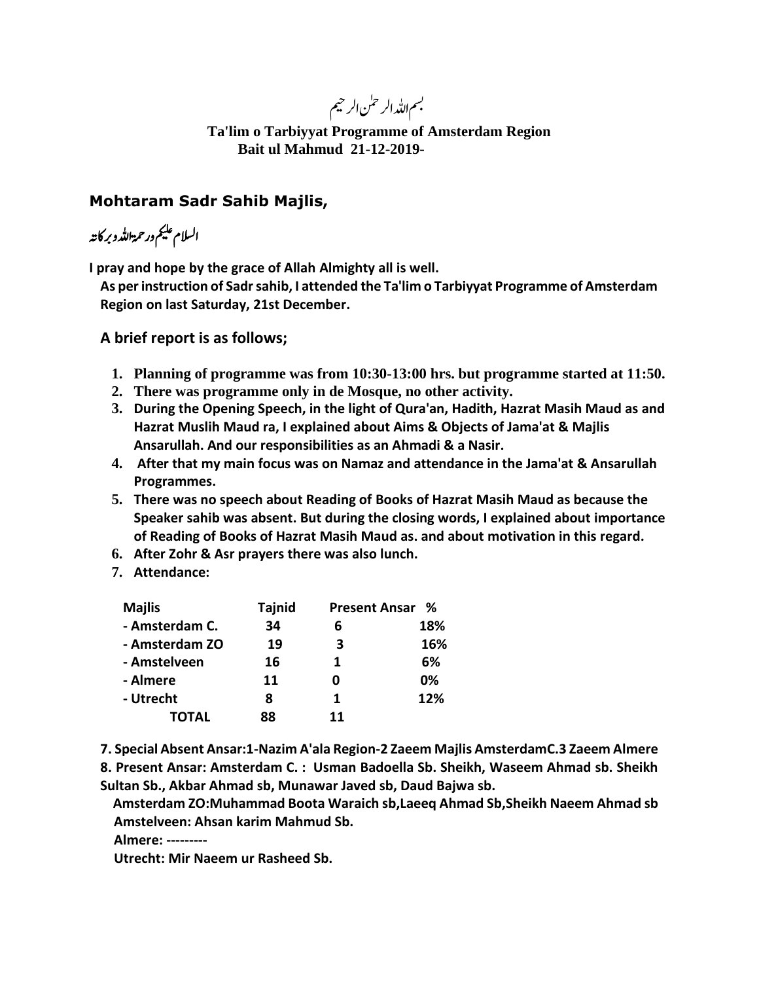بسم <sub>اللّٰہ الر</sub>حمٰن الرحيم

**Ta'lim o Tarbiyyat Programme of Amsterdam Region Bait ul Mahmud 21-12-2019-**

## **Mohtaram Sadr Sahib Majlis,**

السلام علیم ورحمةالل<sub>ّٰ</sub>رو بر کانہ

**I pray and hope by the grace of Allah Almighty all is well.**

**As per instruction of Sadr sahib, I attended the Ta'lim o Tarbiyyat Programme of Amsterdam Region on last Saturday, 21st December.** 

**A brief report is as follows;**

- **1. Planning of programme was from 10:30-13:00 hrs. but programme started at 11:50.**
- **2. There was programme only in de Mosque, no other activity.**
- **3. During the Opening Speech, in the light of Qura'an, Hadith, Hazrat Masih Maud as and Hazrat Muslih Maud ra, I explained about Aims & Objects of Jama'at & Majlis Ansarullah. And our responsibilities as an Ahmadi & a Nasir.**
- **4. After that my main focus was on Namaz and attendance in the Jama'at & Ansarullah Programmes.**
- **5. There was no speech about Reading of Books of Hazrat Masih Maud as because the Speaker sahib was absent. But during the closing words, I explained about importance of Reading of Books of Hazrat Masih Maud as. and about motivation in this regard.**
- **6. After Zohr & Asr prayers there was also lunch.**
- **7. Attendance:**

| <b>Majlis</b>  | <b>Tajnid</b> |    | <b>Present Ansar %</b> |
|----------------|---------------|----|------------------------|
| - Amsterdam C. | 34            | 6  | 18%                    |
| - Amsterdam ZO | 19            | 3  | 16%                    |
| - Amstelveen   | 16            | 1  | 6%                     |
| - Almere       | 11            | 0  | 0%                     |
| - Utrecht      | 8             | 1  | 12%                    |
| <b>TOTAL</b>   | 88            | 11 |                        |

**7. Special Absent Ansar:1-Nazim A'ala Region-2 Zaeem Majlis AmsterdamC.3 Zaeem Almere**

**8. Present Ansar: Amsterdam C. : Usman Badoella Sb. Sheikh, Waseem Ahmad sb. Sheikh Sultan Sb., Akbar Ahmad sb, Munawar Javed sb, Daud Bajwa sb.**

**Amsterdam ZO:Muhammad Boota Waraich sb,Laeeq Ahmad Sb,Sheikh Naeem Ahmad sb Amstelveen: Ahsan karim Mahmud Sb.**

 **Almere: ---------**

 **Utrecht: Mir Naeem ur Rasheed Sb.**